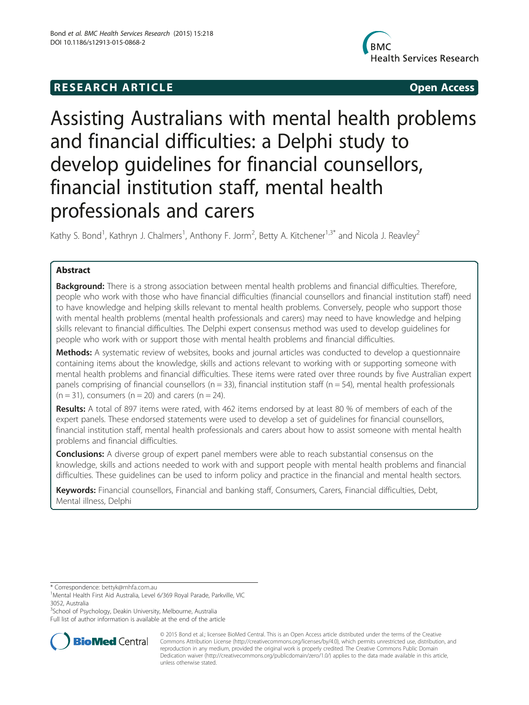## **RESEARCH ARTICLE Example 2018 12:00 Open Access**



# Assisting Australians with mental health problems and financial difficulties: a Delphi study to develop guidelines for financial counsellors, financial institution staff, mental health professionals and carers

Kathy S. Bond<sup>1</sup>, Kathryn J. Chalmers<sup>1</sup>, Anthony F. Jorm<sup>2</sup>, Betty A. Kitchener<sup>1,3\*</sup> and Nicola J. Reavley<sup>2</sup>

## Abstract

**Background:** There is a strong association between mental health problems and financial difficulties. Therefore, people who work with those who have financial difficulties (financial counsellors and financial institution staff) need to have knowledge and helping skills relevant to mental health problems. Conversely, people who support those with mental health problems (mental health professionals and carers) may need to have knowledge and helping skills relevant to financial difficulties. The Delphi expert consensus method was used to develop guidelines for people who work with or support those with mental health problems and financial difficulties.

Methods: A systematic review of websites, books and journal articles was conducted to develop a questionnaire containing items about the knowledge, skills and actions relevant to working with or supporting someone with mental health problems and financial difficulties. These items were rated over three rounds by five Australian expert panels comprising of financial counsellors ( $n = 33$ ), financial institution staff ( $n = 54$ ), mental health professionals  $(n = 31)$ , consumers  $(n = 20)$  and carers  $(n = 24)$ .

Results: A total of 897 items were rated, with 462 items endorsed by at least 80 % of members of each of the expert panels. These endorsed statements were used to develop a set of guidelines for financial counsellors, financial institution staff, mental health professionals and carers about how to assist someone with mental health problems and financial difficulties.

**Conclusions:** A diverse group of expert panel members were able to reach substantial consensus on the knowledge, skills and actions needed to work with and support people with mental health problems and financial difficulties. These guidelines can be used to inform policy and practice in the financial and mental health sectors.

Keywords: Financial counsellors, Financial and banking staff, Consumers, Carers, Financial difficulties, Debt, Mental illness, Delphi

\* Correspondence: [bettyk@mhfa.com.au](mailto:bettyk@mhfa.com.au) <sup>1</sup>

<sup>3</sup>School of Psychology, Deakin University, Melbourne, Australia

Full list of author information is available at the end of the article



© 2015 Bond et al.; licensee BioMed Central. This is an Open Access article distributed under the terms of the Creative Commons Attribution License [\(http://creativecommons.org/licenses/by/4.0\)](http://creativecommons.org/licenses/by/4.0), which permits unrestricted use, distribution, and reproduction in any medium, provided the original work is properly credited. The Creative Commons Public Domain Dedication waiver [\(http://creativecommons.org/publicdomain/zero/1.0/](http://creativecommons.org/publicdomain/zero/1.0/)) applies to the data made available in this article, unless otherwise stated.

<sup>&</sup>lt;sup>1</sup>Mental Health First Aid Australia, Level 6/369 Royal Parade, Parkville, VIC 3052, Australia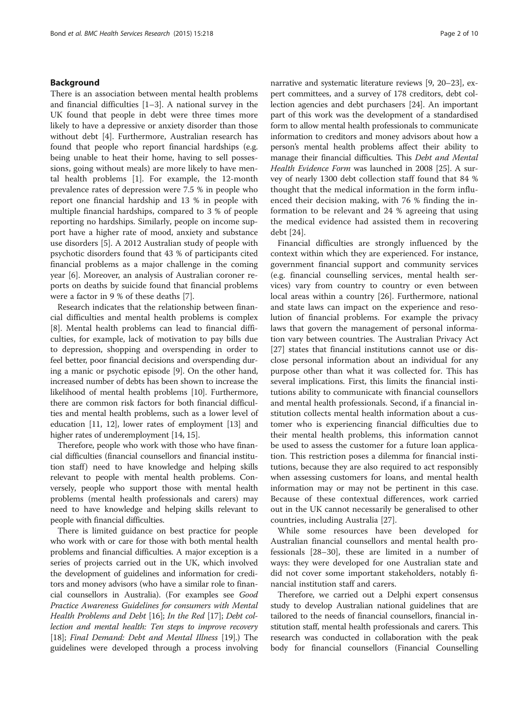## Background

There is an association between mental health problems and financial difficulties [\[1](#page-8-0)–[3\]](#page-8-0). A national survey in the UK found that people in debt were three times more likely to have a depressive or anxiety disorder than those without debt [\[4](#page-8-0)]. Furthermore, Australian research has found that people who report financial hardships (e.g. being unable to heat their home, having to sell possessions, going without meals) are more likely to have mental health problems [[1\]](#page-8-0). For example, the 12-month prevalence rates of depression were 7.5 % in people who report one financial hardship and 13 % in people with multiple financial hardships, compared to 3 % of people reporting no hardships. Similarly, people on income support have a higher rate of mood, anxiety and substance use disorders [[5](#page-8-0)]. A 2012 Australian study of people with psychotic disorders found that 43 % of participants cited financial problems as a major challenge in the coming year [\[6](#page-8-0)]. Moreover, an analysis of Australian coroner reports on deaths by suicide found that financial problems were a factor in 9 % of these deaths [[7\]](#page-8-0).

Research indicates that the relationship between financial difficulties and mental health problems is complex [[8\]](#page-9-0). Mental health problems can lead to financial difficulties, for example, lack of motivation to pay bills due to depression, shopping and overspending in order to feel better, poor financial decisions and overspending during a manic or psychotic episode [[9\]](#page-9-0). On the other hand, increased number of debts has been shown to increase the likelihood of mental health problems [\[10\]](#page-9-0). Furthermore, there are common risk factors for both financial difficulties and mental health problems, such as a lower level of education [\[11](#page-9-0), [12](#page-9-0)], lower rates of employment [[13](#page-9-0)] and higher rates of underemployment [\[14, 15\]](#page-9-0).

Therefore, people who work with those who have financial difficulties (financial counsellors and financial institution staff) need to have knowledge and helping skills relevant to people with mental health problems. Conversely, people who support those with mental health problems (mental health professionals and carers) may need to have knowledge and helping skills relevant to people with financial difficulties.

There is limited guidance on best practice for people who work with or care for those with both mental health problems and financial difficulties. A major exception is a series of projects carried out in the UK, which involved the development of guidelines and information for creditors and money advisors (who have a similar role to financial counsellors in Australia). (For examples see Good Practice Awareness Guidelines for consumers with Mental Health Problems and Debt [[16](#page-9-0)]; In the Red [[17](#page-9-0)]; Debt collection and mental health: Ten steps to improve recovery [[18](#page-9-0)]; Final Demand: Debt and Mental Illness [[19](#page-9-0)].) The guidelines were developed through a process involving

narrative and systematic literature reviews [\[9, 20](#page-9-0)–[23](#page-9-0)], expert committees, and a survey of 178 creditors, debt collection agencies and debt purchasers [[24](#page-9-0)]. An important part of this work was the development of a standardised form to allow mental health professionals to communicate information to creditors and money advisors about how a person's mental health problems affect their ability to manage their financial difficulties. This Debt and Mental Health Evidence Form was launched in 2008 [[25](#page-9-0)]. A survey of nearly 1300 debt collection staff found that 84 % thought that the medical information in the form influenced their decision making, with 76 % finding the information to be relevant and 24 % agreeing that using the medical evidence had assisted them in recovering debt [[24\]](#page-9-0).

Financial difficulties are strongly influenced by the context within which they are experienced. For instance, government financial support and community services (e.g. financial counselling services, mental health services) vary from country to country or even between local areas within a country [[26](#page-9-0)]. Furthermore, national and state laws can impact on the experience and resolution of financial problems. For example the privacy laws that govern the management of personal information vary between countries. The Australian Privacy Act [[27\]](#page-9-0) states that financial institutions cannot use or disclose personal information about an individual for any purpose other than what it was collected for. This has several implications. First, this limits the financial institutions ability to communicate with financial counsellors and mental health professionals. Second, if a financial institution collects mental health information about a customer who is experiencing financial difficulties due to their mental health problems, this information cannot be used to assess the customer for a future loan application. This restriction poses a dilemma for financial institutions, because they are also required to act responsibly when assessing customers for loans, and mental health information may or may not be pertinent in this case. Because of these contextual differences, work carried out in the UK cannot necessarily be generalised to other countries, including Australia [[27\]](#page-9-0).

While some resources have been developed for Australian financial counsellors and mental health professionals [\[28](#page-9-0)–[30\]](#page-9-0), these are limited in a number of ways: they were developed for one Australian state and did not cover some important stakeholders, notably financial institution staff and carers.

Therefore, we carried out a Delphi expert consensus study to develop Australian national guidelines that are tailored to the needs of financial counsellors, financial institution staff, mental health professionals and carers. This research was conducted in collaboration with the peak body for financial counsellors (Financial Counselling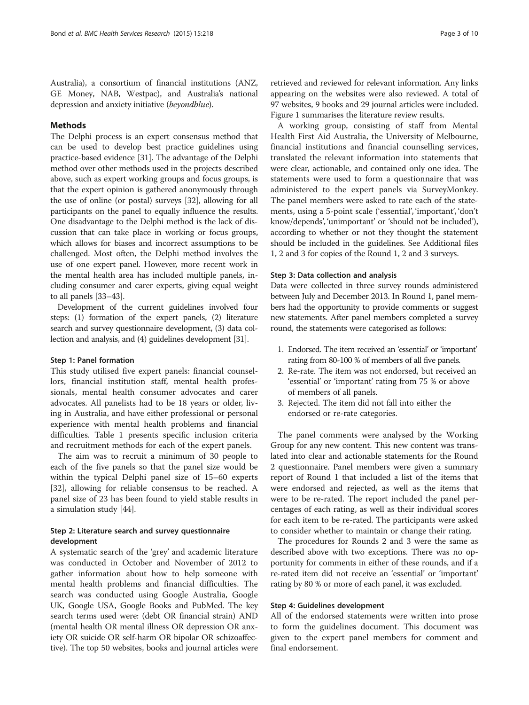Australia), a consortium of financial institutions (ANZ, GE Money, NAB, Westpac), and Australia's national depression and anxiety initiative (beyondblue).

## Methods

The Delphi process is an expert consensus method that can be used to develop best practice guidelines using practice-based evidence [[31](#page-9-0)]. The advantage of the Delphi method over other methods used in the projects described above, such as expert working groups and focus groups, is that the expert opinion is gathered anonymously through the use of online (or postal) surveys [\[32\]](#page-9-0), allowing for all participants on the panel to equally influence the results. One disadvantage to the Delphi method is the lack of discussion that can take place in working or focus groups, which allows for biases and incorrect assumptions to be challenged. Most often, the Delphi method involves the use of one expert panel. However, more recent work in the mental health area has included multiple panels, including consumer and carer experts, giving equal weight to all panels [\[33](#page-9-0)–[43](#page-9-0)].

Development of the current guidelines involved four steps: (1) formation of the expert panels, (2) literature search and survey questionnaire development, (3) data collection and analysis, and (4) guidelines development [[31](#page-9-0)].

## Step 1: Panel formation

This study utilised five expert panels: financial counsellors, financial institution staff, mental health professionals, mental health consumer advocates and carer advocates. All panelists had to be 18 years or older, living in Australia, and have either professional or personal experience with mental health problems and financial difficulties. Table [1](#page-3-0) presents specific inclusion criteria and recruitment methods for each of the expert panels.

The aim was to recruit a minimum of 30 people to each of the five panels so that the panel size would be within the typical Delphi panel size of 15–60 experts [[32\]](#page-9-0), allowing for reliable consensus to be reached. A panel size of 23 has been found to yield stable results in a simulation study [\[44\]](#page-9-0).

## Step 2: Literature search and survey questionnaire development

A systematic search of the 'grey' and academic literature was conducted in October and November of 2012 to gather information about how to help someone with mental health problems and financial difficulties. The search was conducted using Google Australia, Google UK, Google USA, Google Books and PubMed. The key search terms used were: (debt OR financial strain) AND (mental health OR mental illness OR depression OR anxiety OR suicide OR self-harm OR bipolar OR schizoaffective). The top 50 websites, books and journal articles were retrieved and reviewed for relevant information. Any links appearing on the websites were also reviewed. A total of 97 websites, 9 books and 29 journal articles were included. Figure [1](#page-4-0) summarises the literature review results.

A working group, consisting of staff from Mental Health First Aid Australia, the University of Melbourne, financial institutions and financial counselling services, translated the relevant information into statements that were clear, actionable, and contained only one idea. The statements were used to form a questionnaire that was administered to the expert panels via SurveyMonkey. The panel members were asked to rate each of the statements, using a 5-point scale ('essential', 'important', 'don't know/depends', 'unimportant' or 'should not be included'), according to whether or not they thought the statement should be included in the guidelines. See Additional files [1, 2](#page-8-0) and [3](#page-8-0) for copies of the Round 1, 2 and 3 surveys.

### Step 3: Data collection and analysis

Data were collected in three survey rounds administered between July and December 2013. In Round 1, panel members had the opportunity to provide comments or suggest new statements. After panel members completed a survey round, the statements were categorised as follows:

- 1. Endorsed. The item received an 'essential' or 'important' rating from 80-100 % of members of all five panels.
- 2. Re-rate. The item was not endorsed, but received an 'essential' or 'important' rating from 75 % or above of members of all panels.
- 3. Rejected. The item did not fall into either the endorsed or re-rate categories.

The panel comments were analysed by the Working Group for any new content. This new content was translated into clear and actionable statements for the Round 2 questionnaire. Panel members were given a summary report of Round 1 that included a list of the items that were endorsed and rejected, as well as the items that were to be re-rated. The report included the panel percentages of each rating, as well as their individual scores for each item to be re-rated. The participants were asked to consider whether to maintain or change their rating.

The procedures for Rounds 2 and 3 were the same as described above with two exceptions. There was no opportunity for comments in either of these rounds, and if a re-rated item did not receive an 'essential' or 'important' rating by 80 % or more of each panel, it was excluded.

### Step 4: Guidelines development

All of the endorsed statements were written into prose to form the guidelines document. This document was given to the expert panel members for comment and final endorsement.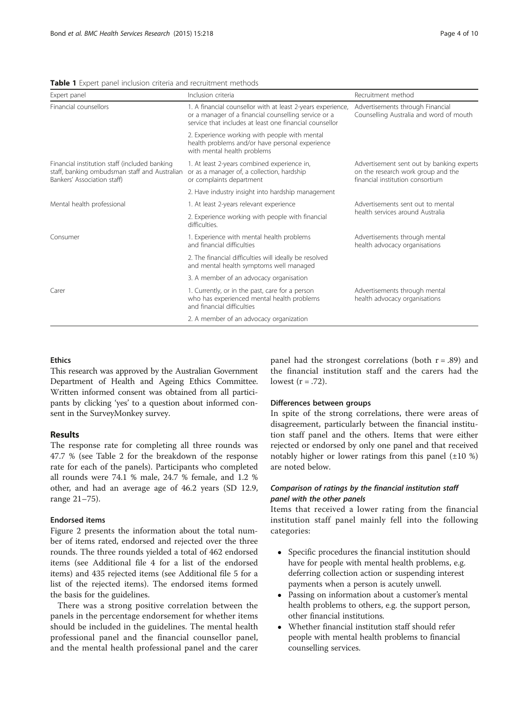#### <span id="page-3-0"></span>**Table 1** Expert panel inclusion criteria and recruitment methods

| Expert panel                                                                                                                  | Inclusion criteria                                                                                                                                                             | Recruitment method                                                                                                  |  |
|-------------------------------------------------------------------------------------------------------------------------------|--------------------------------------------------------------------------------------------------------------------------------------------------------------------------------|---------------------------------------------------------------------------------------------------------------------|--|
| Financial counsellors                                                                                                         | 1. A financial counsellor with at least 2-years experience,<br>or a manager of a financial counselling service or a<br>service that includes at least one financial counsellor | Advertisements through Financial<br>Counselling Australia and word of mouth                                         |  |
|                                                                                                                               | 2. Experience working with people with mental<br>health problems and/or have personal experience<br>with mental health problems                                                |                                                                                                                     |  |
| Financial institution staff (included banking<br>staff, banking ombudsman staff and Australian<br>Bankers' Association staff) | 1. At least 2-years combined experience in,<br>or as a manager of, a collection, hardship<br>or complaints department                                                          | Advertisement sent out by banking experts<br>on the research work group and the<br>financial institution consortium |  |
|                                                                                                                               | 2. Have industry insight into hardship management                                                                                                                              |                                                                                                                     |  |
| Mental health professional                                                                                                    | 1. At least 2-years relevant experience                                                                                                                                        | Advertisements sent out to mental<br>health services around Australia                                               |  |
|                                                                                                                               | 2. Experience working with people with financial<br>difficulties.                                                                                                              |                                                                                                                     |  |
| Consumer                                                                                                                      | 1. Experience with mental health problems<br>and financial difficulties                                                                                                        | Advertisements through mental<br>health advocacy organisations                                                      |  |
|                                                                                                                               | 2. The financial difficulties will ideally be resolved<br>and mental health symptoms well managed                                                                              |                                                                                                                     |  |
|                                                                                                                               | 3. A member of an advocacy organisation                                                                                                                                        |                                                                                                                     |  |
| Carer                                                                                                                         | 1. Currently, or in the past, care for a person<br>who has experienced mental health problems<br>and financial difficulties                                                    | Advertisements through mental<br>health advocacy organisations                                                      |  |
|                                                                                                                               | 2. A member of an advocacy organization                                                                                                                                        |                                                                                                                     |  |

## Ethics

This research was approved by the Australian Government Department of Health and Ageing Ethics Committee. Written informed consent was obtained from all participants by clicking 'yes' to a question about informed consent in the SurveyMonkey survey.

## Results

The response rate for completing all three rounds was 47.7 % (see Table [2](#page-4-0) for the breakdown of the response rate for each of the panels). Participants who completed all rounds were 74.1 % male, 24.7 % female, and 1.2 % other, and had an average age of 46.2 years (SD 12.9, range 21–75).

## Endorsed items

Figure [2](#page-5-0) presents the information about the total number of items rated, endorsed and rejected over the three rounds. The three rounds yielded a total of 462 endorsed items (see Additional file [4](#page-8-0) for a list of the endorsed items) and 435 rejected items (see Additional file [5](#page-8-0) for a list of the rejected items). The endorsed items formed the basis for the guidelines.

There was a strong positive correlation between the panels in the percentage endorsement for whether items should be included in the guidelines. The mental health professional panel and the financial counsellor panel, and the mental health professional panel and the carer

panel had the strongest correlations (both  $r = .89$ ) and the financial institution staff and the carers had the lowest  $(r=.72)$ .

## Differences between groups

In spite of the strong correlations, there were areas of disagreement, particularly between the financial institution staff panel and the others. Items that were either rejected or endorsed by only one panel and that received notably higher or lower ratings from this panel  $(\pm 10\%)$ are noted below.

## Comparison of ratings by the financial institution staff

Items that received a lower rating from the financial institution staff panel mainly fell into the following categories:

- Specific procedures the financial institution should have for people with mental health problems, e.g. deferring collection action or suspending interest payments when a person is acutely unwell.
- Passing on information about a customer's mental health problems to others, e.g. the support person, other financial institutions.
- Whether financial institution staff should refer people with mental health problems to financial counselling services.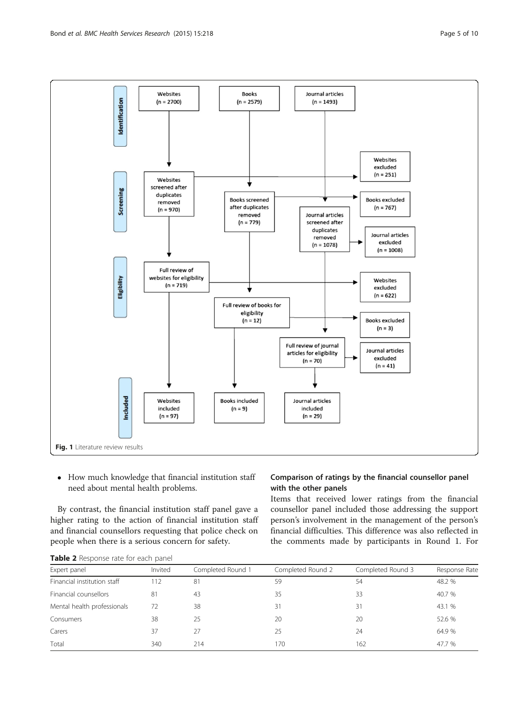<span id="page-4-0"></span>

• How much knowledge that financial institution staff need about mental health problems.

By contrast, the financial institution staff panel gave a higher rating to the action of financial institution staff and financial counsellors requesting that police check on people when there is a serious concern for safety.

Table 2 Response rate for each panel

## Comparison of ratings by the financial counsellor panel with the other panels

Items that received lower ratings from the financial counsellor panel included those addressing the support person's involvement in the management of the person's financial difficulties. This difference was also reflected in the comments made by participants in Round 1. For

| Expert panel                | Invited | Completed Round 1 | Completed Round 2 | Completed Round 3 | Response Rate |
|-----------------------------|---------|-------------------|-------------------|-------------------|---------------|
| Financial institution staff | 112     | 81                | 59                | 54                | 48.2 %        |
| Financial counsellors       | 81      | 43                | 35                | 33                | 40.7 %        |
| Mental health professionals | 72      | 38                | 31                | 31                | 43.1 %        |
| Consumers                   | 38      | 25                | 20                | 20                | 52.6 %        |
| Carers                      | 37      | 27                | 25                | 24                | 64.9 %        |
| Total                       | 340     | 214               | 170               | 162               | 47.7 %        |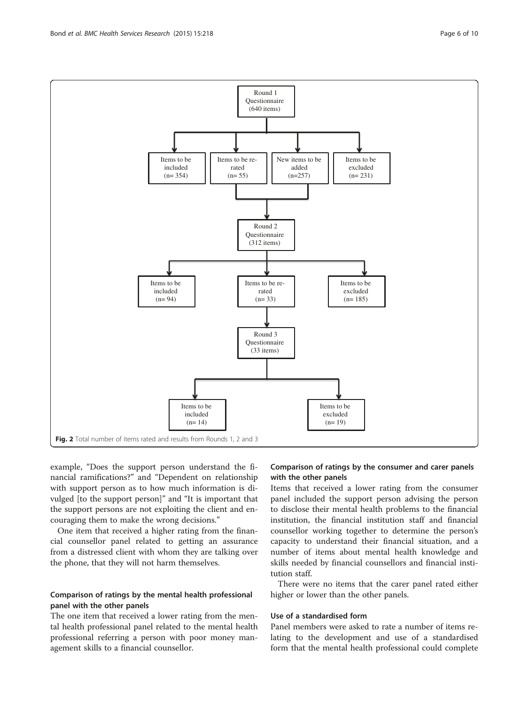<span id="page-5-0"></span>

example, "Does the support person understand the financial ramifications?" and "Dependent on relationship with support person as to how much information is divulged [to the support person]" and "It is important that the support persons are not exploiting the client and encouraging them to make the wrong decisions."

One item that received a higher rating from the financial counsellor panel related to getting an assurance from a distressed client with whom they are talking over the phone, that they will not harm themselves.

## Comparison of ratings by the mental health professional panel with the other panels

The one item that received a lower rating from the mental health professional panel related to the mental health professional referring a person with poor money management skills to a financial counsellor.

## Comparison of ratings by the consumer and carer panels with the other panels

Items that received a lower rating from the consumer panel included the support person advising the person to disclose their mental health problems to the financial institution, the financial institution staff and financial counsellor working together to determine the person's capacity to understand their financial situation, and a number of items about mental health knowledge and skills needed by financial counsellors and financial institution staff.

There were no items that the carer panel rated either higher or lower than the other panels.

## Use of a standardised form

Panel members were asked to rate a number of items relating to the development and use of a standardised form that the mental health professional could complete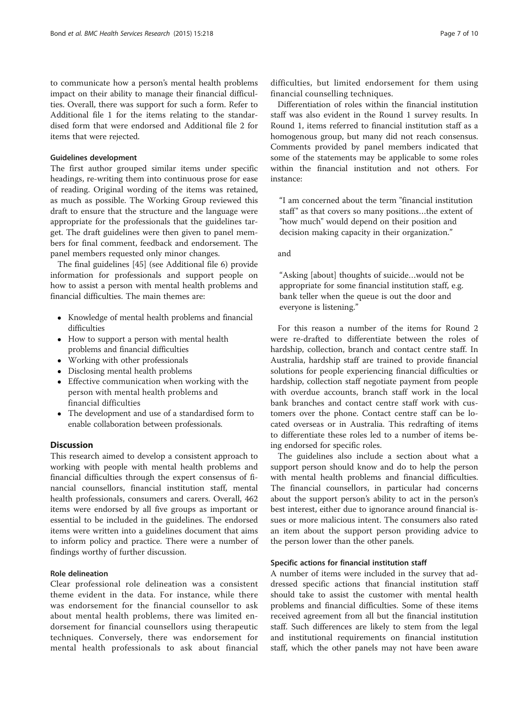to communicate how a person's mental health problems impact on their ability to manage their financial difficulties. Overall, there was support for such a form. Refer to Additional file [1](#page-8-0) for the items relating to the standardised form that were endorsed and Additional file [2](#page-8-0) for items that were rejected.

## Guidelines development

The first author grouped similar items under specific headings, re-writing them into continuous prose for ease of reading. Original wording of the items was retained, as much as possible. The Working Group reviewed this draft to ensure that the structure and the language were appropriate for the professionals that the guidelines target. The draft guidelines were then given to panel members for final comment, feedback and endorsement. The panel members requested only minor changes.

The final guidelines [\[45\]](#page-9-0) (see Additional file [6\)](#page-8-0) provide information for professionals and support people on how to assist a person with mental health problems and financial difficulties. The main themes are:

- Knowledge of mental health problems and financial difficulties
- How to support a person with mental health problems and financial difficulties
- Working with other professionals
- Disclosing mental health problems
- Effective communication when working with the person with mental health problems and financial difficulties
- The development and use of a standardised form to enable collaboration between professionals.

## Discussion

This research aimed to develop a consistent approach to working with people with mental health problems and financial difficulties through the expert consensus of financial counsellors, financial institution staff, mental health professionals, consumers and carers. Overall, 462 items were endorsed by all five groups as important or essential to be included in the guidelines. The endorsed items were written into a guidelines document that aims to inform policy and practice. There were a number of findings worthy of further discussion.

## Role delineation

Clear professional role delineation was a consistent theme evident in the data. For instance, while there was endorsement for the financial counsellor to ask about mental health problems, there was limited endorsement for financial counsellors using therapeutic techniques. Conversely, there was endorsement for mental health professionals to ask about financial

difficulties, but limited endorsement for them using financial counselling techniques.

Differentiation of roles within the financial institution staff was also evident in the Round 1 survey results. In Round 1, items referred to financial institution staff as a homogenous group, but many did not reach consensus. Comments provided by panel members indicated that some of the statements may be applicable to some roles within the financial institution and not others. For instance:

"I am concerned about the term "financial institution staff" as that covers so many positions...the extent of "how much" would depend on their position and decision making capacity in their organization."

and

"Asking [about] thoughts of suicide…would not be appropriate for some financial institution staff, e.g. bank teller when the queue is out the door and everyone is listening."

For this reason a number of the items for Round 2 were re-drafted to differentiate between the roles of hardship, collection, branch and contact centre staff. In Australia, hardship staff are trained to provide financial solutions for people experiencing financial difficulties or hardship, collection staff negotiate payment from people with overdue accounts, branch staff work in the local bank branches and contact centre staff work with customers over the phone. Contact centre staff can be located overseas or in Australia. This redrafting of items to differentiate these roles led to a number of items being endorsed for specific roles.

The guidelines also include a section about what a support person should know and do to help the person with mental health problems and financial difficulties. The financial counsellors, in particular had concerns about the support person's ability to act in the person's best interest, either due to ignorance around financial issues or more malicious intent. The consumers also rated an item about the support person providing advice to the person lower than the other panels.

## Specific actions for financial institution staff

A number of items were included in the survey that addressed specific actions that financial institution staff should take to assist the customer with mental health problems and financial difficulties. Some of these items received agreement from all but the financial institution staff. Such differences are likely to stem from the legal and institutional requirements on financial institution staff, which the other panels may not have been aware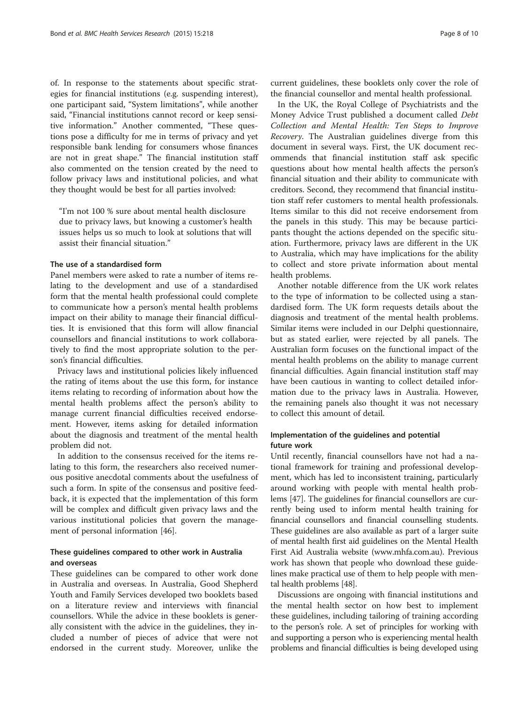of. In response to the statements about specific strategies for financial institutions (e.g. suspending interest), one participant said, "System limitations", while another said, "Financial institutions cannot record or keep sensitive information." Another commented, "These questions pose a difficulty for me in terms of privacy and yet responsible bank lending for consumers whose finances are not in great shape." The financial institution staff also commented on the tension created by the need to follow privacy laws and institutional policies, and what they thought would be best for all parties involved:

"I'm not 100 % sure about mental health disclosure due to privacy laws, but knowing a customer's health issues helps us so much to look at solutions that will assist their financial situation."

## The use of a standardised form

Panel members were asked to rate a number of items relating to the development and use of a standardised form that the mental health professional could complete to communicate how a person's mental health problems impact on their ability to manage their financial difficulties. It is envisioned that this form will allow financial counsellors and financial institutions to work collaboratively to find the most appropriate solution to the person's financial difficulties.

Privacy laws and institutional policies likely influenced the rating of items about the use this form, for instance items relating to recording of information about how the mental health problems affect the person's ability to manage current financial difficulties received endorsement. However, items asking for detailed information about the diagnosis and treatment of the mental health problem did not.

In addition to the consensus received for the items relating to this form, the researchers also received numerous positive anecdotal comments about the usefulness of such a form. In spite of the consensus and positive feedback, it is expected that the implementation of this form will be complex and difficult given privacy laws and the various institutional policies that govern the management of personal information [[46\]](#page-9-0).

## These guidelines compared to other work in Australia and overseas

These guidelines can be compared to other work done in Australia and overseas. In Australia, Good Shepherd Youth and Family Services developed two booklets based on a literature review and interviews with financial counsellors. While the advice in these booklets is generally consistent with the advice in the guidelines, they included a number of pieces of advice that were not endorsed in the current study. Moreover, unlike the

current guidelines, these booklets only cover the role of the financial counsellor and mental health professional.

In the UK, the Royal College of Psychiatrists and the Money Advice Trust published a document called Debt Collection and Mental Health: Ten Steps to Improve Recovery. The Australian guidelines diverge from this document in several ways. First, the UK document recommends that financial institution staff ask specific questions about how mental health affects the person's financial situation and their ability to communicate with creditors. Second, they recommend that financial institution staff refer customers to mental health professionals. Items similar to this did not receive endorsement from the panels in this study. This may be because participants thought the actions depended on the specific situation. Furthermore, privacy laws are different in the UK to Australia, which may have implications for the ability to collect and store private information about mental health problems.

Another notable difference from the UK work relates to the type of information to be collected using a standardised form. The UK form requests details about the diagnosis and treatment of the mental health problems. Similar items were included in our Delphi questionnaire, but as stated earlier, were rejected by all panels. The Australian form focuses on the functional impact of the mental health problems on the ability to manage current financial difficulties. Again financial institution staff may have been cautious in wanting to collect detailed information due to the privacy laws in Australia. However, the remaining panels also thought it was not necessary to collect this amount of detail.

## Implementation of the guidelines and potential future work

Until recently, financial counsellors have not had a national framework for training and professional development, which has led to inconsistent training, particularly around working with people with mental health problems [\[47\]](#page-9-0). The guidelines for financial counsellors are currently being used to inform mental health training for financial counsellors and financial counselling students. These guidelines are also available as part of a larger suite of mental health first aid guidelines on the Mental Health First Aid Australia website ([www.mhfa.com.au](http://www.mhfa.com.au)). Previous work has shown that people who download these guidelines make practical use of them to help people with mental health problems [\[48\]](#page-9-0).

Discussions are ongoing with financial institutions and the mental health sector on how best to implement these guidelines, including tailoring of training according to the person's role. A set of principles for working with and supporting a person who is experiencing mental health problems and financial difficulties is being developed using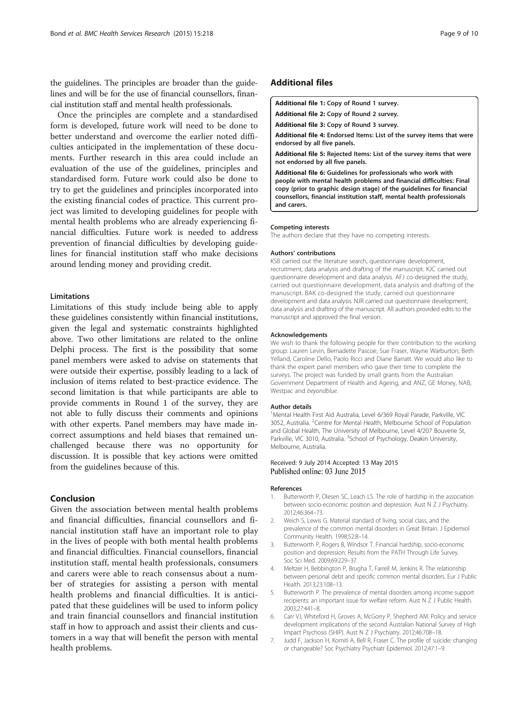<span id="page-8-0"></span>the guidelines. The principles are broader than the guidelines and will be for the use of financial counsellors, financial institution staff and mental health professionals.

Once the principles are complete and a standardised form is developed, future work will need to be done to better understand and overcome the earlier noted difficulties anticipated in the implementation of these documents. Further research in this area could include an evaluation of the use of the guidelines, principles and standardised form. Future work could also be done to try to get the guidelines and principles incorporated into the existing financial codes of practice. This current project was limited to developing guidelines for people with mental health problems who are already experiencing financial difficulties. Future work is needed to address prevention of financial difficulties by developing guidelines for financial institution staff who make decisions around lending money and providing credit.

## Limitations

Limitations of this study include being able to apply these guidelines consistently within financial institutions, given the legal and systematic constraints highlighted above. Two other limitations are related to the online Delphi process. The first is the possibility that some panel members were asked to advise on statements that were outside their expertise, possibly leading to a lack of inclusion of items related to best-practice evidence. The second limitation is that while participants are able to provide comments in Round 1 of the survey, they are not able to fully discuss their comments and opinions with other experts. Panel members may have made incorrect assumptions and held biases that remained unchallenged because there was no opportunity for discussion. It is possible that key actions were omitted from the guidelines because of this.

## Conclusion

Given the association between mental health problems and financial difficulties, financial counsellors and financial institution staff have an important role to play in the lives of people with both mental health problems and financial difficulties. Financial counsellors, financial institution staff, mental health professionals, consumers and carers were able to reach consensus about a number of strategies for assisting a person with mental health problems and financial difficulties. It is anticipated that these guidelines will be used to inform policy and train financial counsellors and financial institution staff in how to approach and assist their clients and customers in a way that will benefit the person with mental health problems.

## Additional files

[Additional file 1:](http://www.biomedcentral.com/content/supplementary/s12913-015-0868-2-s1.pdf) Copy of Round 1 survey.

[Additional file 2:](http://www.biomedcentral.com/content/supplementary/s12913-015-0868-2-s2.pdf) Copy of Round 2 survey.

[Additional file 3:](http://www.biomedcentral.com/content/supplementary/s12913-015-0868-2-s3.pdf) Copy of Round 3 survey.

[Additional file 4:](http://www.biomedcentral.com/content/supplementary/s12913-015-0868-2-s4.pdf) Endorsed Items: List of the survey items that were endorsed by all five panels.

[Additional file 5:](http://www.biomedcentral.com/content/supplementary/s12913-015-0868-2-s5.pdf) Rejected Items: List of the survey items that were not endorsed by all five panels.

[Additional file 6:](http://www.biomedcentral.com/content/supplementary/s12913-015-0868-2-s6.pdf) Guidelines for professionals who work with people with mental health problems and financial difficulties: Final copy (prior to graphic design stage) of the guidelines for financial counsellors, financial institution staff, mental health professionals and carers.

#### Competing interests

The authors declare that they have no competing interests.

#### Authors' contributions

KSB carried out the literature search, questionnaire development, recruitment, data analysis and drafting of the manuscript. KJC carried out questionnaire development and data analysis. AFJ co-designed the study, carried out questionnaire development, data analysis and drafting of the manuscript. BAK co-designed the study, carried out questionnaire development and data analysis. NJR carried out questionnaire development, data analysis and drafting of the manuscript. All authors provided edits to the manuscript and approved the final version.

#### Acknowledgements

We wish to thank the following people for their contribution to the working group: Lauren Levin, Bernadette Pascoe, Sue Fraser, Wayne Warburton, Beth Yelland, Caroline Dello, Paolo Ricci and Diane Barratt. We would also like to thank the expert panel members who gave their time to complete the surveys. The project was funded by small grants from the Australian Government Department of Health and Ageing, and ANZ, GE Money, NAB, Westpac and beyondblue.

#### Author details

<sup>1</sup>Mental Health First Aid Australia, Level 6/369 Royal Parade, Parkville, VIC 3052, Australia. <sup>2</sup>Centre for Mental Health, Melbourne School of Population and Global Health, The University of Melbourne, Level 4/207 Bouverie St, Parkville, VIC 3010, Australia. <sup>3</sup>School of Psychology, Deakin University Melbourne, Australia.

### Received: 9 July 2014 Accepted: 13 May 2015 Published online: 03 June 2015

#### References

- Butterworth P, Olesen SC, Leach LS. The role of hardship in the association between socio-economic position and depression. Aust N Z J Psychiatry. 2012;46:364–73.
- 2. Weich S, Lewis G. Material standard of living, social class, and the prevalence of the common mental disorders in Great Britain. J Epidemiol Community Health. 1998;52:8–14.
- 3. Butterworth P, Rogers B, Windsor T. Financial hardship, socio-economic position and depression: Results from the PATH Through Life Survey. Soc Sci Med. 2009;69:229–37.
- 4. Meltzer H, Bebbington P, Brugha T, Farrell M, Jenkins R. The relationship between personal debt and specific common mental disorders. Eur J Public Health. 2013;23:108–13.
- 5. Butterworth P. The prevalence of mental disorders among income support recipients: an important issue for welfare reform. Aust N Z J Public Health. 2003;27:441–8.
- 6. Carr VJ, Whiteford H, Groves A, McGorry P, Shepherd AM. Policy and service development implications of the second Australian National Survey of High Impact Psychosis (SHIP). Aust N Z J Psychiatry. 2012;46:708–18.
- 7. Judd F, Jackson H, Komiti A, Bell R, Fraser C. The profile of suicide: changing or changeable? Soc Psychiatry Psychiatr Epidemiol. 2012;47:1–9.